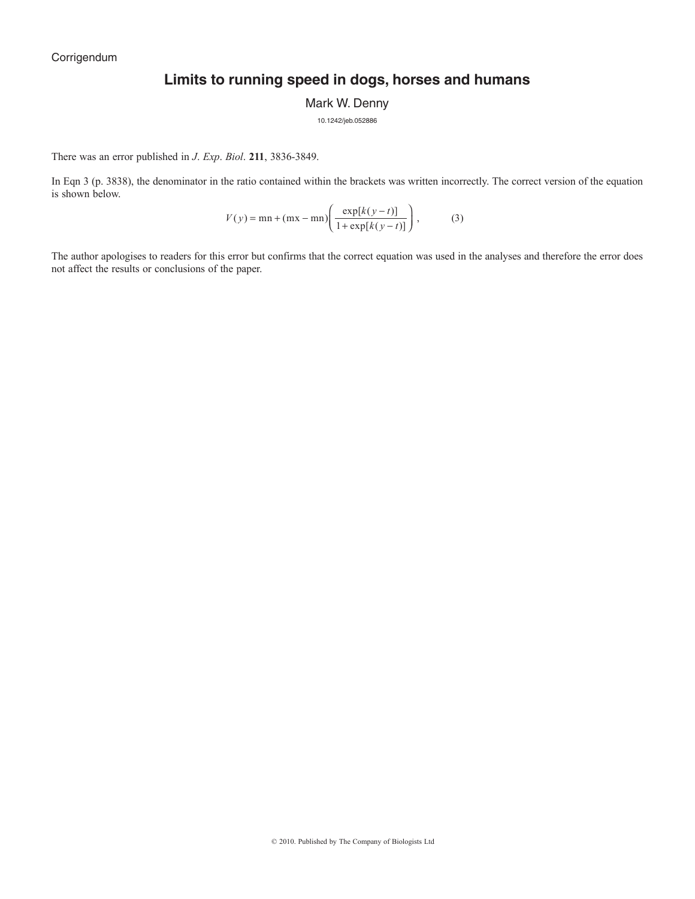# **Limits to running speed in dogs, horses and humans**

Mark W. Denny

10.1242/jeb.052886

There was an error published in *J*. *Exp*. *Biol*. **211**, 3836-3849.

In Eqn 3 (p. 3838), the denominator in the ratio contained within the brackets was written incorrectly. The correct version of the equation is shown below.

$$
V(y) = \min + (\max - \min) \left( \frac{\exp[k(y - t)]}{1 + \exp[k(y - t)]} \right),
$$
 (3)

The author apologises to readers for this error but confirms that the correct equation was used in the analyses and therefore the error does not affect the results or conclusions of the paper.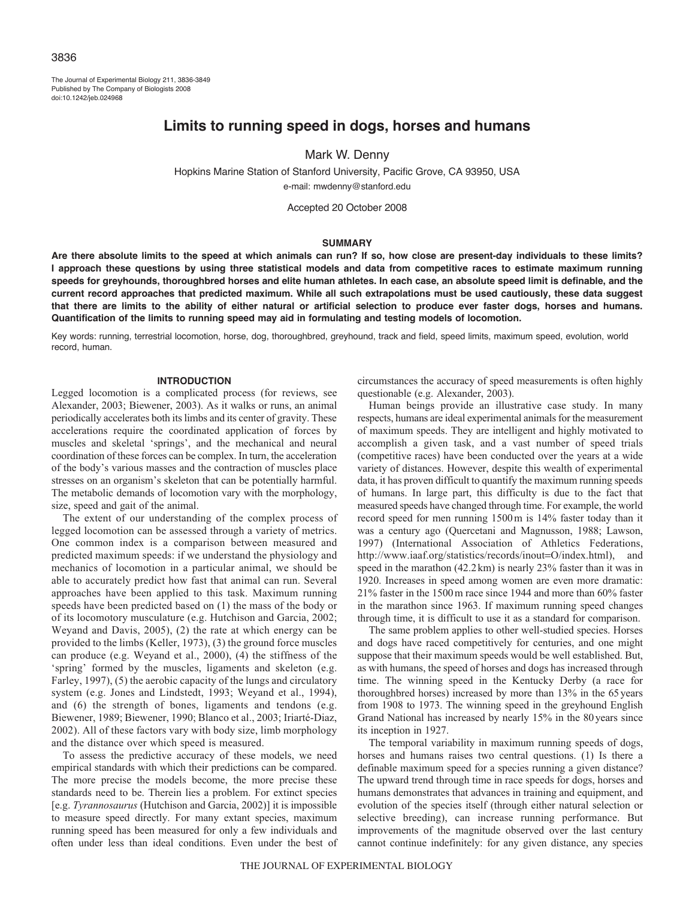# 3836

The Journal of Experimental Biology 211, 3836-3849 Published by The Company of Biologists 2008 doi:10.1242/jeb.024968

# **Limits to running speed in dogs, horses and humans**

# Mark W. Denny

Hopkins Marine Station of Stanford University, Pacific Grove, CA 93950, USA e-mail: mwdenny@stanford.edu

Accepted 20 October 2008

## **SUMMARY**

**Are there absolute limits to the speed at which animals can run? If so, how close are present-day individuals to these limits? I approach these questions by using three statistical models and data from competitive races to estimate maximum running speeds for greyhounds, thoroughbred horses and elite human athletes. In each case, an absolute speed limit is definable, and the current record approaches that predicted maximum. While all such extrapolations must be used cautiously, these data suggest that there are limits to the ability of either natural or artificial selection to produce ever faster dogs, horses and humans. Quantification of the limits to running speed may aid in formulating and testing models of locomotion.**

Key words: running, terrestrial locomotion, horse, dog, thoroughbred, greyhound, track and field, speed limits, maximum speed, evolution, world record, human.

#### **INTRODUCTION**

Legged locomotion is a complicated process (for reviews, see Alexander, 2003; Biewener, 2003). As it walks or runs, an animal periodically accelerates both its limbs and its center of gravity. These accelerations require the coordinated application of forces by muscles and skeletal 'springs', and the mechanical and neural coordination of these forces can be complex. In turn, the acceleration of the body's various masses and the contraction of muscles place stresses on an organism's skeleton that can be potentially harmful. The metabolic demands of locomotion vary with the morphology, size, speed and gait of the animal.

The extent of our understanding of the complex process of legged locomotion can be assessed through a variety of metrics. One common index is a comparison between measured and predicted maximum speeds: if we understand the physiology and mechanics of locomotion in a particular animal, we should be able to accurately predict how fast that animal can run. Several approaches have been applied to this task. Maximum running speeds have been predicted based on (1) the mass of the body or of its locomotory musculature (e.g. Hutchison and Garcia, 2002; Weyand and Davis, 2005), (2) the rate at which energy can be provided to the limbs (Keller, 1973), (3) the ground force muscles can produce (e.g. Weyand et al., 2000), (4) the stiffness of the 'spring' formed by the muscles, ligaments and skeleton (e.g. Farley, 1997), (5) the aerobic capacity of the lungs and circulatory system (e.g. Jones and Lindstedt, 1993; Weyand et al., 1994), and (6) the strength of bones, ligaments and tendons (e.g. Biewener, 1989; Biewener, 1990; Blanco et al., 2003; Iriarté-Diaz, 2002). All of these factors vary with body size, limb morphology and the distance over which speed is measured.

To assess the predictive accuracy of these models, we need empirical standards with which their predictions can be compared. The more precise the models become, the more precise these standards need to be. Therein lies a problem. For extinct species [e.g. *Tyrannosaurus* (Hutchison and Garcia, 2002)] it is impossible to measure speed directly. For many extant species, maximum running speed has been measured for only a few individuals and often under less than ideal conditions. Even under the best of circumstances the accuracy of speed measurements is often highly questionable (e.g. Alexander, 2003).

Human beings provide an illustrative case study. In many respects, humans are ideal experimental animals for the measurement of maximum speeds. They are intelligent and highly motivated to accomplish a given task, and a vast number of speed trials (competitive races) have been conducted over the years at a wide variety of distances. However, despite this wealth of experimental data, it has proven difficult to quantify the maximum running speeds of humans. In large part, this difficulty is due to the fact that measured speeds have changed through time. For example, the world record speed for men running 1500m is 14% faster today than it was a century ago (Quercetani and Magnusson, 1988; Lawson, 1997) (International Association of Athletics Federations, http://www.iaaf.org/statistics/records/inout=O/index.html), and speed in the marathon (42.2km) is nearly 23% faster than it was in 1920. Increases in speed among women are even more dramatic: 21% faster in the 1500m race since 1944 and more than 60% faster in the marathon since 1963. If maximum running speed changes through time, it is difficult to use it as a standard for comparison.

The same problem applies to other well-studied species. Horses and dogs have raced competitively for centuries, and one might suppose that their maximum speeds would be well established. But, as with humans, the speed of horses and dogs has increased through time. The winning speed in the Kentucky Derby (a race for thoroughbred horses) increased by more than 13% in the 65years from 1908 to 1973. The winning speed in the greyhound English Grand National has increased by nearly 15% in the 80years since its inception in 1927.

The temporal variability in maximum running speeds of dogs, horses and humans raises two central questions. (1) Is there a definable maximum speed for a species running a given distance? The upward trend through time in race speeds for dogs, horses and humans demonstrates that advances in training and equipment, and evolution of the species itself (through either natural selection or selective breeding), can increase running performance. But improvements of the magnitude observed over the last century cannot continue indefinitely: for any given distance, any species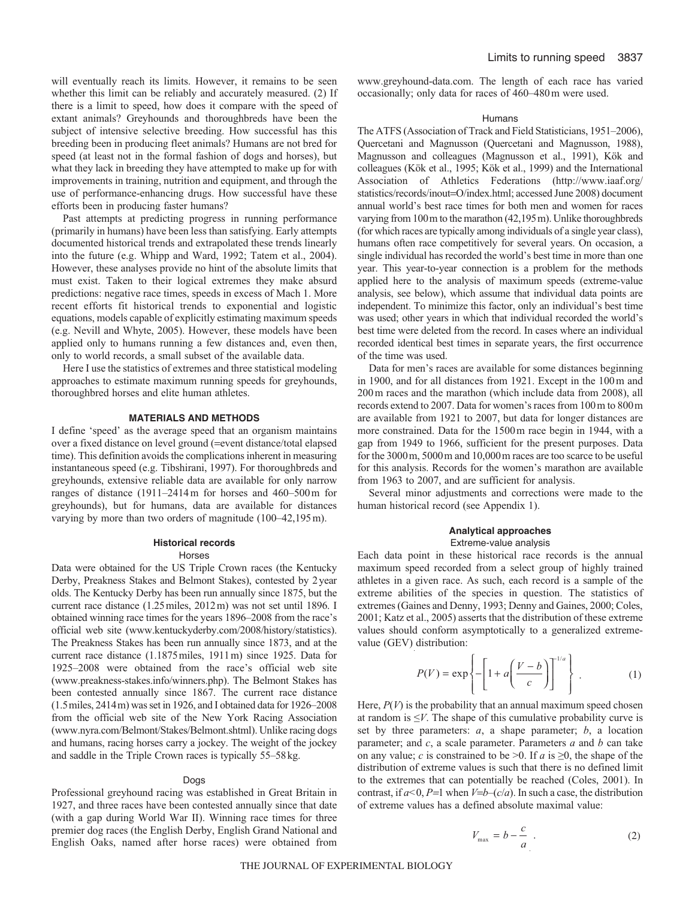will eventually reach its limits. However, it remains to be seen whether this limit can be reliably and accurately measured. (2) If there is a limit to speed, how does it compare with the speed of extant animals? Greyhounds and thoroughbreds have been the subject of intensive selective breeding. How successful has this breeding been in producing fleet animals? Humans are not bred for speed (at least not in the formal fashion of dogs and horses), but what they lack in breeding they have attempted to make up for with improvements in training, nutrition and equipment, and through the use of performance-enhancing drugs. How successful have these efforts been in producing faster humans?

Past attempts at predicting progress in running performance (primarily in humans) have been less than satisfying. Early attempts documented historical trends and extrapolated these trends linearly into the future (e.g. Whipp and Ward, 1992; Tatem et al., 2004). However, these analyses provide no hint of the absolute limits that must exist. Taken to their logical extremes they make absurd predictions: negative race times, speeds in excess of Mach 1. More recent efforts fit historical trends to exponential and logistic equations, models capable of explicitly estimating maximum speeds (e.g. Nevill and Whyte, 2005). However, these models have been applied only to humans running a few distances and, even then, only to world records, a small subset of the available data.

Here I use the statistics of extremes and three statistical modeling approaches to estimate maximum running speeds for greyhounds, thoroughbred horses and elite human athletes.

# **MATERIALS AND METHODS**

I define 'speed' as the average speed that an organism maintains over a fixed distance on level ground (=event distance/total elapsed time). This definition avoids the complications inherent in measuring instantaneous speed (e.g. Tibshirani, 1997). For thoroughbreds and greyhounds, extensive reliable data are available for only narrow ranges of distance (1911–2414m for horses and 460–500m for greyhounds), but for humans, data are available for distances varying by more than two orders of magnitude (100–42,195m).

# **Historical records**

#### Horses

Data were obtained for the US Triple Crown races (the Kentucky Derby, Preakness Stakes and Belmont Stakes), contested by 2year olds. The Kentucky Derby has been run annually since 1875, but the current race distance (1.25miles, 2012m) was not set until 1896. I obtained winning race times for the years 1896–2008 from the race's official web site (www.kentuckyderby.com/2008/history/statistics). The Preakness Stakes has been run annually since 1873, and at the current race distance (1.1875miles, 1911m) since 1925. Data for 1925–2008 were obtained from the race's official web site (www.preakness-stakes.info/winners.php). The Belmont Stakes has been contested annually since 1867. The current race distance (1.5miles, 2414m) was set in 1926, and I obtained data for 1926–2008 from the official web site of the New York Racing Association (www.nyra.com/Belmont/Stakes/Belmont.shtml). Unlike racing dogs and humans, racing horses carry a jockey. The weight of the jockey and saddle in the Triple Crown races is typically 55–58kg.

#### Dogs

Professional greyhound racing was established in Great Britain in 1927, and three races have been contested annually since that date (with a gap during World War II). Winning race times for three premier dog races (the English Derby, English Grand National and English Oaks, named after horse races) were obtained from www.greyhound-data.com. The length of each race has varied occasionally; only data for races of 460–480m were used.

#### Humans

The ATFS (Association of Track and Field Statisticians, 1951–2006), Quercetani and Magnusson (Quercetani and Magnusson, 1988), Magnusson and colleagues (Magnusson et al., 1991), Kök and colleagues (Kök et al., 1995; Kök et al., 1999) and the International Association of Athletics Federations (http://www.iaaf.org/ statistics/records/inout=O/index.html; accessed June 2008) document annual world's best race times for both men and women for races varying from 100m to the marathon (42,195m). Unlike thoroughbreds (for which races are typically among individuals of a single year class), humans often race competitively for several years. On occasion, a single individual has recorded the world's best time in more than one year. This year-to-year connection is a problem for the methods applied here to the analysis of maximum speeds (extreme-value analysis, see below), which assume that individual data points are independent. To minimize this factor, only an individual's best time was used; other years in which that individual recorded the world's best time were deleted from the record. In cases where an individual recorded identical best times in separate years, the first occurrence of the time was used.

Data for men's races are available for some distances beginning in 1900, and for all distances from 1921. Except in the 100m and 200m races and the marathon (which include data from 2008), all records extend to 2007. Data for women's races from 100m to 800m are available from 1921 to 2007, but data for longer distances are more constrained. Data for the 1500m race begin in 1944, with a gap from 1949 to 1966, sufficient for the present purposes. Data for the 3000m, 5000m and 10,000m races are too scarce to be useful for this analysis. Records for the women's marathon are available from 1963 to 2007, and are sufficient for analysis.

Several minor adjustments and corrections were made to the human historical record (see Appendix 1).

# **Analytical approaches**

# Extreme-value analysis

Each data point in these historical race records is the annual maximum speed recorded from a select group of highly trained athletes in a given race. As such, each record is a sample of the extreme abilities of the species in question. The statistics of extremes (Gaines and Denny, 1993; Denny and Gaines, 2000; Coles, 2001; Katz et al., 2005) asserts that the distribution of these extreme values should conform asymptotically to a generalized extremevalue (GEV) distribution:

$$
P(V) = \exp\left\{-\left[1 + a\left(\frac{V - b}{c}\right)\right]^{1/a}\right\} \tag{1}
$$

Here,  $P(V)$  is the probability that an annual maximum speed chosen at random is  $\leq V$ . The shape of this cumulative probability curve is set by three parameters: *a*, a shape parameter; *b*, a location parameter; and *c*, a scale parameter. Parameters *a* and *b* can take on any value; *c* is constrained to be  $\geq 0$ . If *a* is  $\geq 0$ , the shape of the distribution of extreme values is such that there is no defined limit to the extremes that can potentially be reached (Coles, 2001). In contrast, if  $a < 0$ ,  $P=1$  when  $V=b-(c/a)$ . In such a case, the distribution of extreme values has a defined absolute maximal value:

$$
V_{\text{max}} = b - \frac{c}{a} \tag{2}
$$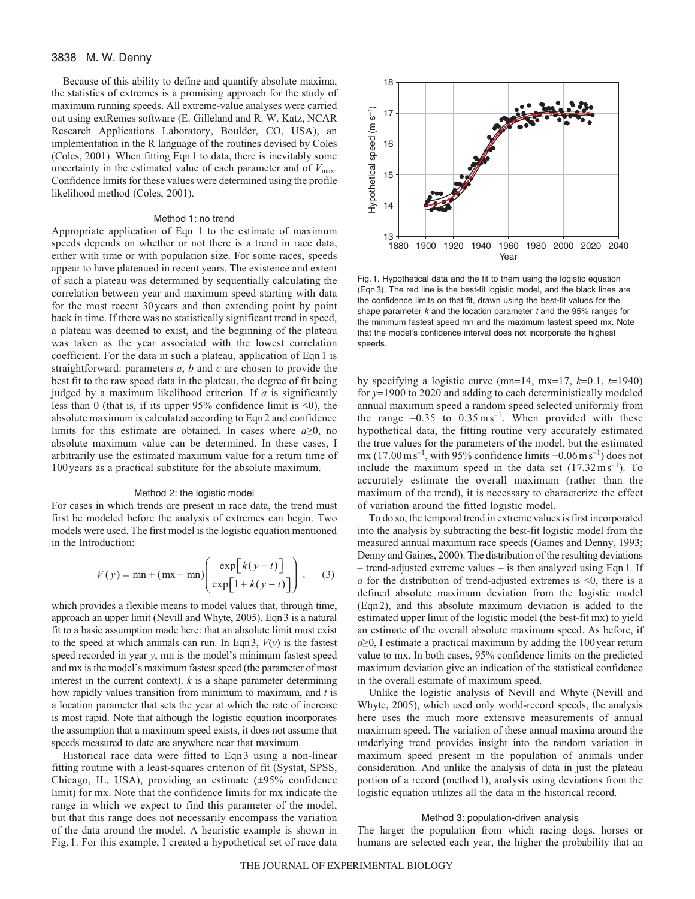Because of this ability to define and quantify absolute maxima, the statistics of extremes is a promising approach for the study of maximum running speeds. All extreme-value analyses were carried out using extRemes software (E. Gilleland and R. W. Katz, NCAR Research Applications Laboratory, Boulder, CO, USA), an implementation in the R language of the routines devised by Coles (Coles, 2001). When fitting Eqn1 to data, there is inevitably some uncertainty in the estimated value of each parameter and of  $V_{\text{max}}$ . Confidence limits for these values were determined using the profile likelihood method (Coles, 2001).

## Method 1: no trend

Appropriate application of Eqn 1 to the estimate of maximum speeds depends on whether or not there is a trend in race data, either with time or with population size. For some races, speeds appear to have plateaued in recent years. The existence and extent of such a plateau was determined by sequentially calculating the correlation between year and maximum speed starting with data for the most recent 30years and then extending point by point back in time. If there was no statistically significant trend in speed, a plateau was deemed to exist, and the beginning of the plateau was taken as the year associated with the lowest correlation coefficient. For the data in such a plateau, application of Eqn1 is straightforward: parameters *a*, *b* and *c* are chosen to provide the best fit to the raw speed data in the plateau, the degree of fit being judged by a maximum likelihood criterion. If *a* is significantly less than 0 (that is, if its upper 95% confidence limit is <0), the absolute maximum is calculated according to Eqn2 and confidence limits for this estimate are obtained. In cases where *a*≥0, no absolute maximum value can be determined. In these cases, I arbitrarily use the estimated maximum value for a return time of 100years as a practical substitute for the absolute maximum.

#### Method 2: the logistic model

For cases in which trends are present in race data, the trend must first be modeled before the analysis of extremes can begin. Two models were used. The first model is the logistic equation mentioned in the Introduction:

$$
V(y) = \text{mn} + (\text{mx} - \text{mn}) \left( \frac{\exp[k(y-t)]}{\exp[1 + k(y-t)]} \right), \quad (3)
$$

which provides a flexible means to model values that, through time, approach an upper limit (Nevill and Whyte, 2005). Eqn3 is a natural fit to a basic assumption made here: that an absolute limit must exist to the speed at which animals can run. In Eqn3,  $V(y)$  is the fastest speed recorded in year *y*, mn is the model's minimum fastest speed and mx is the model's maximum fastest speed (the parameter of most interest in the current context).  $k$  is a shape parameter determining how rapidly values transition from minimum to maximum, and *t* is a location parameter that sets the year at which the rate of increase is most rapid. Note that although the logistic equation incorporates the assumption that a maximum speed exists, it does not assume that speeds measured to date are anywhere near that maximum.

Historical race data were fitted to Eqn3 using a non-linear fitting routine with a least-squares criterion of fit (Systat, SPSS, Chicago, IL, USA), providing an estimate (±95% confidence limit) for mx. Note that the confidence limits for mx indicate the range in which we expect to find this parameter of the model, but that this range does not necessarily encompass the variation of the data around the model. A heuristic example is shown in Fig.1. For this example, I created a hypothetical set of race data



Fig. 1. Hypothetical data and the fit to them using the logistic equation (Eqn 3). The red line is the best-fit logistic model, and the black lines are the confidence limits on that fit, drawn using the best-fit values for the shape parameter  $k$  and the location parameter  $t$  and the 95% ranges for the minimum fastest speed mn and the maximum fastest speed mx. Note that the model's confidence interval does not incorporate the highest speeds.

by specifying a logistic curve (mn=14, mx=17,  $k=0.1$ ,  $t=1940$ ) for *y*=1900 to 2020 and adding to each deterministically modeled annual maximum speed a random speed selected uniformly from the range  $-0.35$  to  $0.35 \text{ m s}^{-1}$ . When provided with these hypothetical data, the fitting routine very accurately estimated the true values for the parameters of the model, but the estimated mx  $(17.00 \text{ m s}^{-1}$ , with 95% confidence limits  $\pm 0.06 \text{ m s}^{-1}$ ) does not include the maximum speed in the data set  $(17.32 \text{ m s}^{-1})$ . To accurately estimate the overall maximum (rather than the maximum of the trend), it is necessary to characterize the effect of variation around the fitted logistic model.

To do so, the temporal trend in extreme values is first incorporated into the analysis by subtracting the best-fit logistic model from the measured annual maximum race speeds (Gaines and Denny, 1993; Denny and Gaines, 2000). The distribution of the resulting deviations – trend-adjusted extreme values – is then analyzed using Eqn1. If *a* for the distribution of trend-adjusted extremes is  $\leq 0$ , there is a defined absolute maximum deviation from the logistic model (Eqn2), and this absolute maximum deviation is added to the estimated upper limit of the logistic model (the best-fit mx) to yield an estimate of the overall absolute maximum speed. As before, if *a*≥0, I estimate a practical maximum by adding the 100 year return value to mx. In both cases, 95% confidence limits on the predicted maximum deviation give an indication of the statistical confidence in the overall estimate of maximum speed.

Unlike the logistic analysis of Nevill and Whyte (Nevill and Whyte, 2005), which used only world-record speeds, the analysis here uses the much more extensive measurements of annual maximum speed. The variation of these annual maxima around the underlying trend provides insight into the random variation in maximum speed present in the population of animals under consideration. And unlike the analysis of data in just the plateau portion of a record (method1), analysis using deviations from the logistic equation utilizes all the data in the historical record.

#### Method 3: population-driven analysis

The larger the population from which racing dogs, horses or humans are selected each year, the higher the probability that an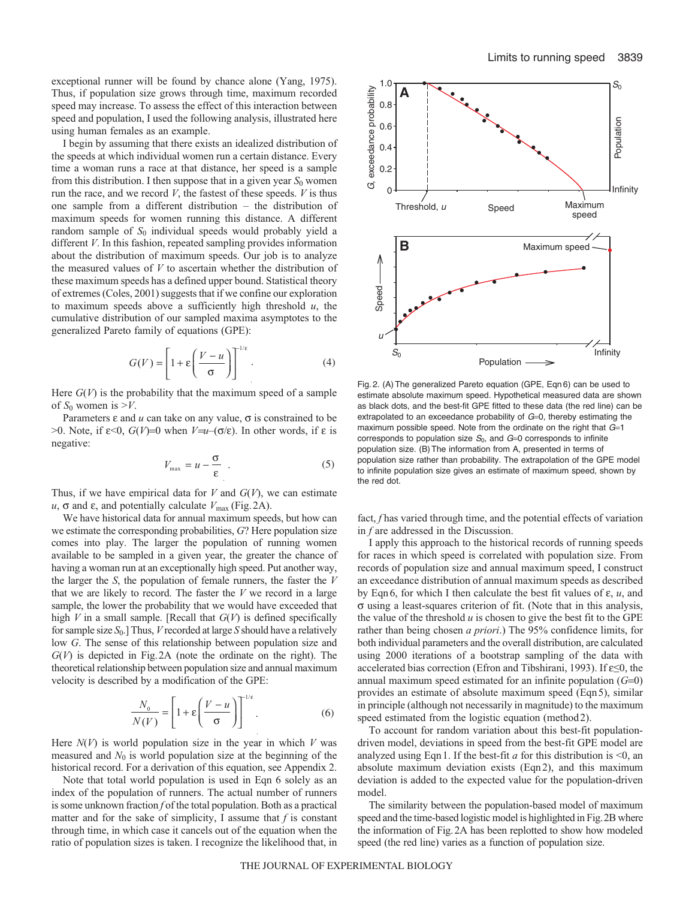exceptional runner will be found by chance alone (Yang, 1975). Thus, if population size grows through time, maximum recorded speed may increase. To assess the effect of this interaction between speed and population, I used the following analysis, illustrated here using human females as an example.

I begin by assuming that there exists an idealized distribution of the speeds at which individual women run a certain distance. Every time a woman runs a race at that distance, her speed is a sample from this distribution. I then suppose that in a given year  $S_0$  women run the race, and we record *V*, the fastest of these speeds. *V* is thus one sample from a different distribution – the distribution of maximum speeds for women running this distance. A different random sample of  $S_0$  individual speeds would probably yield a different *V*. In this fashion, repeated sampling provides information about the distribution of maximum speeds. Our job is to analyze the measured values of *V* to ascertain whether the distribution of these maximum speeds has a defined upper bound. Statistical theory of extremes (Coles, 2001) suggests that if we confine our exploration to maximum speeds above a sufficiently high threshold  $u$ , the cumulative distribution of our sampled maxima asymptotes to the generalized Pareto family of equations (GPE):

$$
G(V) = \left[1 + \varepsilon \left(\frac{V - u}{\sigma}\right)\right]^{1/\varepsilon}.\tag{4}
$$

Here  $G(V)$  is the probability that the maximum speed of a sample of  $S_0$  women is  $\geq V$ .

Parameters  $\varepsilon$  and  $u$  can take on any value,  $\sigma$  is constrained to be >0. Note, if ε<0, *G*(*V*)=0 when *V*=*u*–(σ/ε). In other words, if ε is negative:

$$
V_{\text{max}} = u - \frac{\sigma}{\varepsilon} \quad . \tag{5}
$$

Thus, if we have empirical data for  $V$  and  $G(V)$ , we can estimate  $u$ ,  $\sigma$  and  $\varepsilon$ , and potentially calculate  $V_{\text{max}}$  (Fig.2A).

We have historical data for annual maximum speeds, but how can we estimate the corresponding probabilities, *G*? Here population size comes into play. The larger the population of running women available to be sampled in a given year, the greater the chance of having a woman run at an exceptionally high speed. Put another way, the larger the *S*, the population of female runners, the faster the *V* that we are likely to record. The faster the *V* we record in a large sample, the lower the probability that we would have exceeded that high  $V$  in a small sample. [Recall that  $G(V)$  is defined specifically for sample size *S*0.] Thus, *V* recorded at large *S* should have a relatively low *G*. The sense of this relationship between population size and *G*(*V*) is depicted in Fig.2A (note the ordinate on the right). The theoretical relationship between population size and annual maximum velocity is described by a modification of the GPE:

$$
\frac{N_0}{N(V)} = \left[1 + \varepsilon \left(\frac{V - u}{\sigma}\right)\right]^{1/\varepsilon}.\tag{6}
$$

Here  $N(V)$  is world population size in the year in which  $V$  was measured and  $N_0$  is world population size at the beginning of the historical record. For a derivation of this equation, see Appendix 2.

Note that total world population is used in Eqn 6 solely as an index of the population of runners. The actual number of runners is some unknown fraction *f* of the total population. Both as a practical matter and for the sake of simplicity, I assume that  $f$  is constant through time, in which case it cancels out of the equation when the ratio of population sizes is taken. I recognize the likelihood that, in



Fig. 2. (A) The generalized Pareto equation (GPE, Eqn 6) can be used to estimate absolute maximum speed. Hypothetical measured data are shown as black dots, and the best-fit GPE fitted to these data (the red line) can be extrapolated to an exceedance probability of  $G=0$ , thereby estimating the maximum possible speed. Note from the ordinate on the right that  $G=1$ corresponds to population size  $S_0$ , and  $G=0$  corresponds to infinite population size. (B) The information from A, presented in terms of population size rather than probability. The extrapolation of the GPE model to infinite population size gives an estimate of maximum speed, shown by the red dot.

fact, *f* has varied through time, and the potential effects of variation in *f* are addressed in the Discussion.

I apply this approach to the historical records of running speeds for races in which speed is correlated with population size. From records of population size and annual maximum speed, I construct an exceedance distribution of annual maximum speeds as described by Eqn6, for which I then calculate the best fit values of ε, *u*, and σ using a least-squares criterion of fit. (Note that in this analysis, the value of the threshold  $u$  is chosen to give the best fit to the GPE rather than being chosen *a priori*.) The 95% confidence limits, for both individual parameters and the overall distribution, are calculated using 2000 iterations of a bootstrap sampling of the data with accelerated bias correction (Efron and Tibshirani, 1993). If ε≤0, the annual maximum speed estimated for an infinite population (*G*=0) provides an estimate of absolute maximum speed (Eqn5), similar in principle (although not necessarily in magnitude) to the maximum speed estimated from the logistic equation (method2).

To account for random variation about this best-fit populationdriven model, deviations in speed from the best-fit GPE model are analyzed using Eqn 1. If the best-fit  $a$  for this distribution is <0, an absolute maximum deviation exists (Eqn2), and this maximum deviation is added to the expected value for the population-driven model.

The similarity between the population-based model of maximum speed and the time-based logistic model is highlighted in Fig.2B where the information of Fig.2A has been replotted to show how modeled speed (the red line) varies as a function of population size.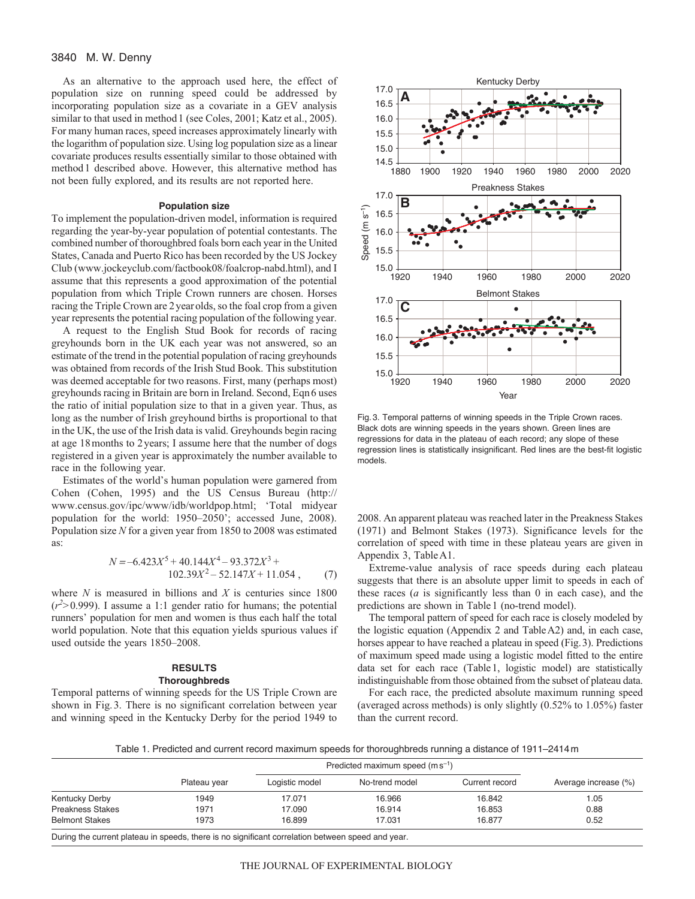As an alternative to the approach used here, the effect of population size on running speed could be addressed by incorporating population size as a covariate in a GEV analysis similar to that used in method 1 (see Coles, 2001; Katz et al., 2005). For many human races, speed increases approximately linearly with the logarithm of population size. Using log population size as a linear covariate produces results essentially similar to those obtained with method1 described above. However, this alternative method has not been fully explored, and its results are not reported here.

#### **Population size**

To implement the population-driven model, information is required regarding the year-by-year population of potential contestants. The combined number of thoroughbred foals born each year in the United States, Canada and Puerto Rico has been recorded by the US Jockey Club (www.jockeyclub.com/factbook08/foalcrop-nabd.html), and I assume that this represents a good approximation of the potential population from which Triple Crown runners are chosen. Horses racing the Triple Crown are 2yearolds, so the foal crop from a given year represents the potential racing population of the following year.

A request to the English Stud Book for records of racing greyhounds born in the UK each year was not answered, so an estimate of the trend in the potential population of racing greyhounds was obtained from records of the Irish Stud Book. This substitution was deemed acceptable for two reasons. First, many (perhaps most) greyhounds racing in Britain are born in Ireland. Second, Eqn6 uses the ratio of initial population size to that in a given year. Thus, as long as the number of Irish greyhound births is proportional to that in the UK, the use of the Irish data is valid. Greyhounds begin racing at age 18months to 2years; I assume here that the number of dogs registered in a given year is approximately the number available to race in the following year.

Estimates of the world's human population were garnered from Cohen (Cohen, 1995) and the US Census Bureau (http:// www.census.gov/ipc/www/idb/worldpop.html; 'Total midyear population for the world: 1950–2050'; accessed June, 2008). Population size *N* for a given year from 1850 to 2008 was estimated as:

$$
N = -6.423X^5 + 40.144X^4 - 93.372X^3 + 102.39X^2 - 52.147X + 11.054,
$$
 (7)

where *N* is measured in billions and *X* is centuries since 1800  $(r<sup>2</sup> > 0.999)$ . I assume a 1:1 gender ratio for humans; the potential runners' population for men and women is thus each half the total world population. Note that this equation yields spurious values if used outside the years 1850–2008.

# **RESULTS Thoroughbreds**

Temporal patterns of winning speeds for the US Triple Crown are shown in Fig.3. There is no significant correlation between year and winning speed in the Kentucky Derby for the period 1949 to



Fig. 3. Temporal patterns of winning speeds in the Triple Crown races. Black dots are winning speeds in the years shown. Green lines are regressions for data in the plateau of each record; any slope of these regression lines is statistically insignificant. Red lines are the best-fit logistic models.

2008. An apparent plateau was reached later in the Preakness Stakes (1971) and Belmont Stakes (1973). Significance levels for the correlation of speed with time in these plateau years are given in Appendix 3, TableA1.

Extreme-value analysis of race speeds during each plateau suggests that there is an absolute upper limit to speeds in each of these races (*a* is significantly less than 0 in each case), and the predictions are shown in Table1 (no-trend model).

The temporal pattern of speed for each race is closely modeled by the logistic equation (Appendix 2 and TableA2) and, in each case, horses appear to have reached a plateau in speed (Fig.3). Predictions of maximum speed made using a logistic model fitted to the entire data set for each race (Table1, logistic model) are statistically indistinguishable from those obtained from the subset of plateau data.

For each race, the predicted absolute maximum running speed (averaged across methods) is only slightly (0.52% to 1.05%) faster than the current record.

Table 1. Predicted and current record maximum speeds for thoroughbreds running a distance of 1911–2414m

|                                                                                                                  |              |                  | Predicted maximum speed $(m s^{-1})$ |                |                      |  |  |  |  |
|------------------------------------------------------------------------------------------------------------------|--------------|------------------|--------------------------------------|----------------|----------------------|--|--|--|--|
|                                                                                                                  | Plateau year | Logistic model   | No-trend model                       | Current record | Average increase (%) |  |  |  |  |
| Kentucky Derby                                                                                                   | 1949         | 17.071           | 16.966                               | 16.842         | 1.05                 |  |  |  |  |
| <b>Preakness Stakes</b>                                                                                          | 1971         | 17.090           | 16.914                               | 16.853         | 0.88                 |  |  |  |  |
| <b>Belmont Stakes</b><br>1973                                                                                    |              | 16.899<br>17.031 |                                      | 16.877         | 0.52                 |  |  |  |  |
| Product the compact of street, because the above because of methods according to the transport of a selection of |              |                  |                                      |                |                      |  |  |  |  |

During the current plateau in speeds, there is no significant correlation between speed and year.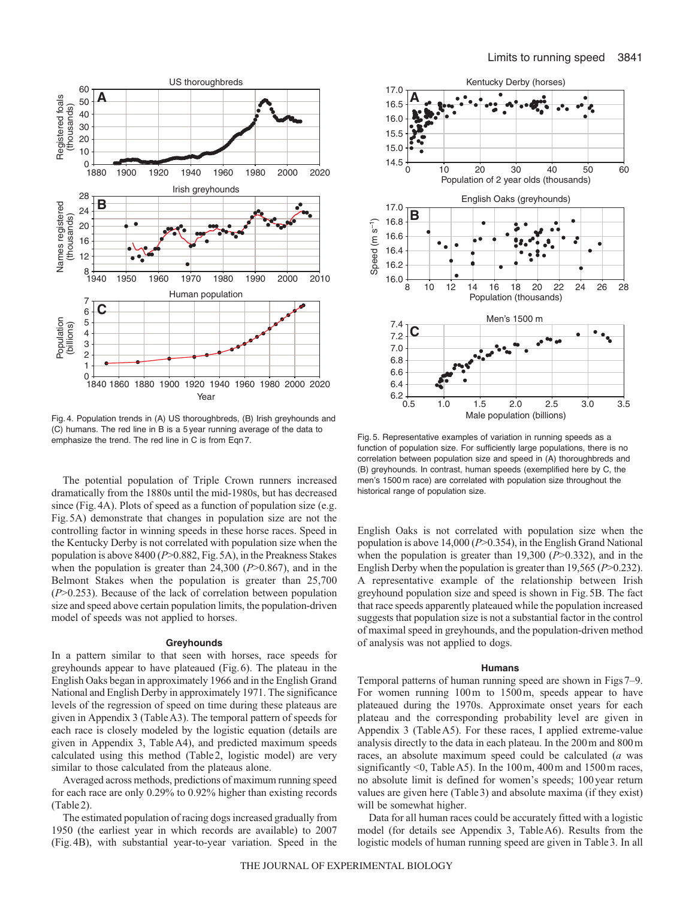

Fig. 4. Population trends in (A) US thoroughbreds, (B) Irish greyhounds and (C) humans. The red line in B is a 5 year running average of the data to emphasize the trend. The red line in C is from Eqn 7.

The potential population of Triple Crown runners increased dramatically from the 1880s until the mid-1980s, but has decreased since (Fig.4A). Plots of speed as a function of population size (e.g. Fig.5A) demonstrate that changes in population size are not the controlling factor in winning speeds in these horse races. Speed in the Kentucky Derby is not correlated with population size when the population is above 8400 (*P*>0.882, Fig.5A), in the Preakness Stakes when the population is greater than 24,300 (*P*>0.867), and in the Belmont Stakes when the population is greater than 25,700 (*P*>0.253). Because of the lack of correlation between population size and speed above certain population limits, the population-driven model of speeds was not applied to horses.

#### **Greyhounds**

In a pattern similar to that seen with horses, race speeds for greyhounds appear to have plateaued (Fig.6). The plateau in the English Oaks began in approximately 1966 and in the English Grand National and English Derby in approximately 1971. The significance levels of the regression of speed on time during these plateaus are given in Appendix 3 (TableA3). The temporal pattern of speeds for each race is closely modeled by the logistic equation (details are given in Appendix 3, TableA4), and predicted maximum speeds calculated using this method (Table2, logistic model) are very similar to those calculated from the plateaus alone.

Averaged across methods, predictions of maximum running speed for each race are only 0.29% to 0.92% higher than existing records (Table2).

The estimated population of racing dogs increased gradually from 1950 (the earliest year in which records are available) to 2007 (Fig.4B), with substantial year-to-year variation. Speed in the



Fig. 5. Representative examples of variation in running speeds as a function of population size. For sufficiently large populations, there is no correlation between population size and speed in (A) thoroughbreds and (B) greyhounds. In contrast, human speeds (exemplified here by C, the men's 1500 m race) are correlated with population size throughout the historical range of population size.

English Oaks is not correlated with population size when the population is above 14,000 (*P*>0.354), in the English Grand National when the population is greater than 19,300 (*P*>0.332), and in the English Derby when the population is greater than 19,565 (*P*>0.232). A representative example of the relationship between Irish greyhound population size and speed is shown in Fig.5B. The fact that race speeds apparently plateaued while the population increased suggests that population size is not a substantial factor in the control of maximal speed in greyhounds, and the population-driven method of analysis was not applied to dogs.

#### **Humans**

Temporal patterns of human running speed are shown in Figs7–9. For women running 100m to 1500m, speeds appear to have plateaued during the 1970s. Approximate onset years for each plateau and the corresponding probability level are given in Appendix 3 (TableA5). For these races, I applied extreme-value analysis directly to the data in each plateau. In the 200m and 800m races, an absolute maximum speed could be calculated (*a* was significantly <0, Table A5). In the 100 m, 400 m and 1500 m races, no absolute limit is defined for women's speeds; 100year return values are given here (Table3) and absolute maxima (if they exist) will be somewhat higher.

Data for all human races could be accurately fitted with a logistic model (for details see Appendix 3, TableA6). Results from the logistic models of human running speed are given in Table3. In all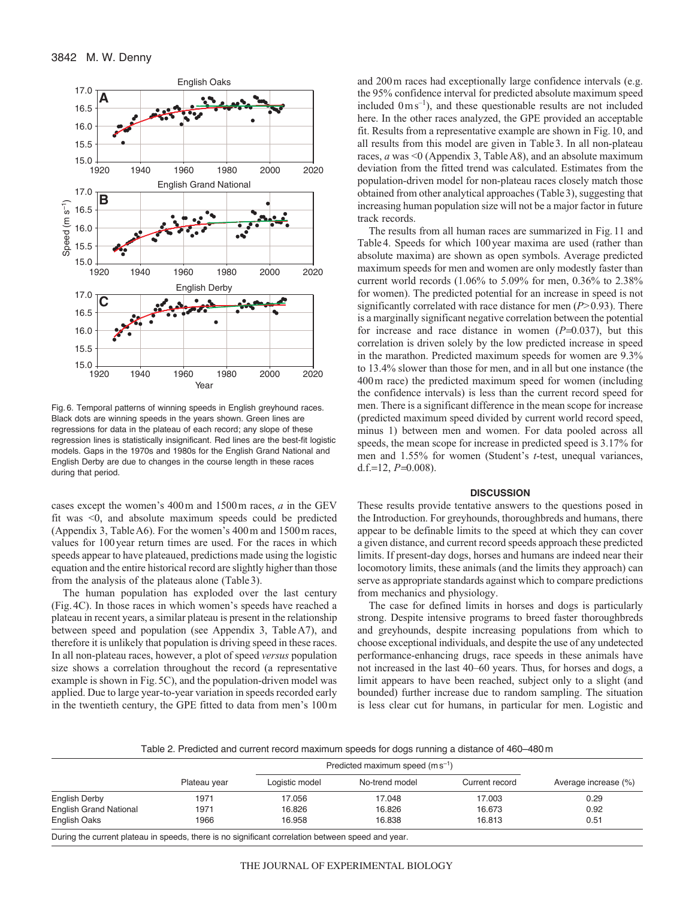

Fig. 6. Temporal patterns of winning speeds in English greyhound races. Black dots are winning speeds in the years shown. Green lines are regressions for data in the plateau of each record; any slope of these regression lines is statistically insignificant. Red lines are the best-fit logistic models. Gaps in the 1970s and 1980s for the English Grand National and English Derby are due to changes in the course length in these races during that period.

cases except the women's 400m and 1500m races, *a* in the GEV fit was <0, and absolute maximum speeds could be predicted (Appendix 3, TableA6). For the women's 400m and 1500m races, values for 100year return times are used. For the races in which speeds appear to have plateaued, predictions made using the logistic equation and the entire historical record are slightly higher than those from the analysis of the plateaus alone (Table3).

The human population has exploded over the last century (Fig.4C). In those races in which women's speeds have reached a plateau in recent years, a similar plateau is present in the relationship between speed and population (see Appendix 3, TableA7), and therefore it is unlikely that population is driving speed in these races. In all non-plateau races, however, a plot of speed *versus* population size shows a correlation throughout the record (a representative example is shown in Fig.5C), and the population-driven model was applied. Due to large year-to-year variation in speeds recorded early in the twentieth century, the GPE fitted to data from men's 100m and 200m races had exceptionally large confidence intervals (e.g. the 95% confidence interval for predicted absolute maximum speed included  $0 \text{ m s}^{-1}$ ), and these questionable results are not included here. In the other races analyzed, the GPE provided an acceptable fit. Results from a representative example are shown in Fig.10, and all results from this model are given in Table3. In all non-plateau races, *a* was <0 (Appendix 3, TableA8), and an absolute maximum deviation from the fitted trend was calculated. Estimates from the population-driven model for non-plateau races closely match those obtained from other analytical approaches (Table3), suggesting that increasing human population size will not be a major factor in future track records.

The results from all human races are summarized in Fig.11 and Table4. Speeds for which 100year maxima are used (rather than absolute maxima) are shown as open symbols. Average predicted maximum speeds for men and women are only modestly faster than current world records (1.06% to 5.09% for men, 0.36% to 2.38% for women). The predicted potential for an increase in speed is not significantly correlated with race distance for men (*P>*0.93). There is a marginally significant negative correlation between the potential for increase and race distance in women (*P*=0.037), but this correlation is driven solely by the low predicted increase in speed in the marathon. Predicted maximum speeds for women are 9.3% to 13.4% slower than those for men, and in all but one instance (the 400m race) the predicted maximum speed for women (including the confidence intervals) is less than the current record speed for men. There is a significant difference in the mean scope for increase (predicted maximum speed divided by current world record speed, minus 1) between men and women. For data pooled across all speeds, the mean scope for increase in predicted speed is 3.17% for men and 1.55% for women (Student's *t*-test, unequal variances, d.f.=12,  $P=0.008$ ).

#### **DISCUSSION**

These results provide tentative answers to the questions posed in the Introduction. For greyhounds, thoroughbreds and humans, there appear to be definable limits to the speed at which they can cover a given distance, and current record speeds approach these predicted limits. If present-day dogs, horses and humans are indeed near their locomotory limits, these animals (and the limits they approach) can serve as appropriate standards against which to compare predictions from mechanics and physiology.

The case for defined limits in horses and dogs is particularly strong. Despite intensive programs to breed faster thoroughbreds and greyhounds, despite increasing populations from which to choose exceptional individuals, and despite the use of any undetected performance-enhancing drugs, race speeds in these animals have not increased in the last 40–60 years. Thus, for horses and dogs, a limit appears to have been reached, subject only to a slight (and bounded) further increase due to random sampling. The situation is less clear cut for humans, in particular for men. Logistic and

Table 2. Predicted and current record maximum speeds for dogs running a distance of 460–480m

|                               |              |                | Predicted maximum speed $(m s^{-1})$ |                |                      |  |  |  |
|-------------------------------|--------------|----------------|--------------------------------------|----------------|----------------------|--|--|--|
|                               | Plateau year | Logistic model | No-trend model                       | Current record | Average increase (%) |  |  |  |
| English Derby                 | 1971         | 17.056         | 17.048                               | 17.003         | 0.29                 |  |  |  |
| <b>English Grand National</b> | 1971         | 16.826         | 16.826                               | 16.673         | 0.92                 |  |  |  |
| English Oaks                  | 1966         | 16.958         | 16.838                               | 16.813         | 0.51                 |  |  |  |
|                               |              |                |                                      |                |                      |  |  |  |

During the current plateau in speeds, there is no significant correlation between speed and year.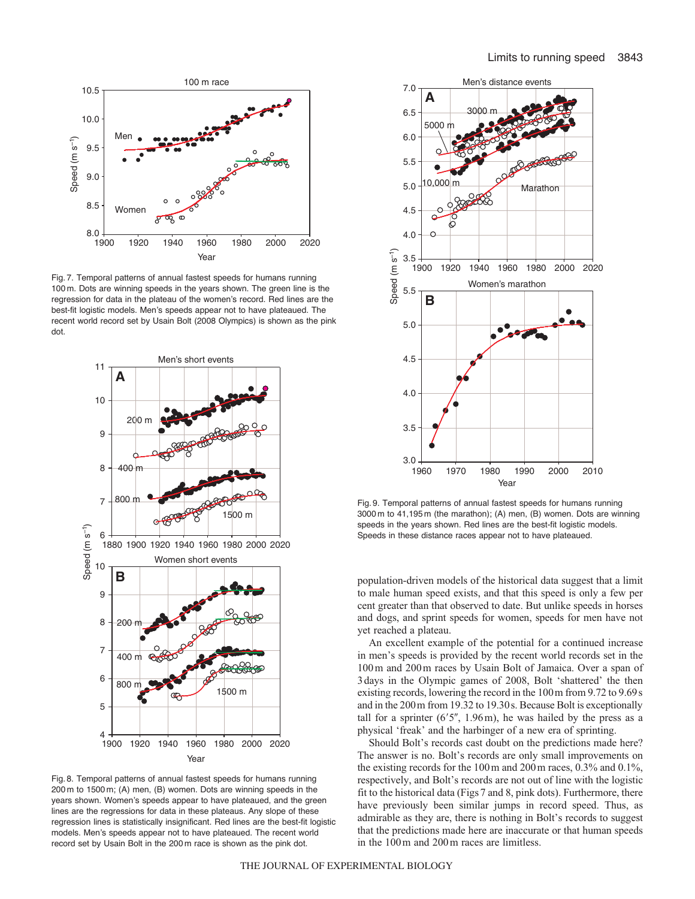

Fig. 7. Temporal patterns of annual fastest speeds for humans running 100 m. Dots are winning speeds in the years shown. The green line is the regression for data in the plateau of the women's record. Red lines are the best-fit logistic models. Men's speeds appear not to have plateaued. The recent world record set by Usain Bolt (2008 Olympics) is shown as the pink dot.



Fig. 8. Temporal patterns of annual fastest speeds for humans running 200 m to 1500 m; (A) men, (B) women. Dots are winning speeds in the years shown. Women's speeds appear to have plateaued, and the green lines are the regressions for data in these plateaus. Any slope of these regression lines is statistically insignificant. Red lines are the best-fit logistic models. Men's speeds appear not to have plateaued. The recent world record set by Usain Bolt in the 200 m race is shown as the pink dot.



Fig. 9. Temporal patterns of annual fastest speeds for humans running 3000 m to 41,195 m (the marathon); (A) men, (B) women. Dots are winning speeds in the years shown. Red lines are the best-fit logistic models. Speeds in these distance races appear not to have plateaued.

population-driven models of the historical data suggest that a limit to male human speed exists, and that this speed is only a few per cent greater than that observed to date. But unlike speeds in horses and dogs, and sprint speeds for women, speeds for men have not yet reached a plateau.

An excellent example of the potential for a continued increase in men's speeds is provided by the recent world records set in the 100m and 200m races by Usain Bolt of Jamaica. Over a span of 3days in the Olympic games of 2008, Bolt 'shattered' the then existing records, lowering the record in the 100m from 9.72 to 9.69s and in the 200m from 19.32 to 19.30s. Because Bolt is exceptionally tall for a sprinter  $(6'5'', 1.96m)$ , he was hailed by the press as a physical 'freak' and the harbinger of a new era of sprinting.

Should Bolt's records cast doubt on the predictions made here? The answer is no. Bolt's records are only small improvements on the existing records for the 100m and 200m races, 0.3% and 0.1%, respectively, and Bolt's records are not out of line with the logistic fit to the historical data (Figs7 and 8, pink dots). Furthermore, there have previously been similar jumps in record speed. Thus, as admirable as they are, there is nothing in Bolt's records to suggest that the predictions made here are inaccurate or that human speeds in the 100m and 200m races are limitless.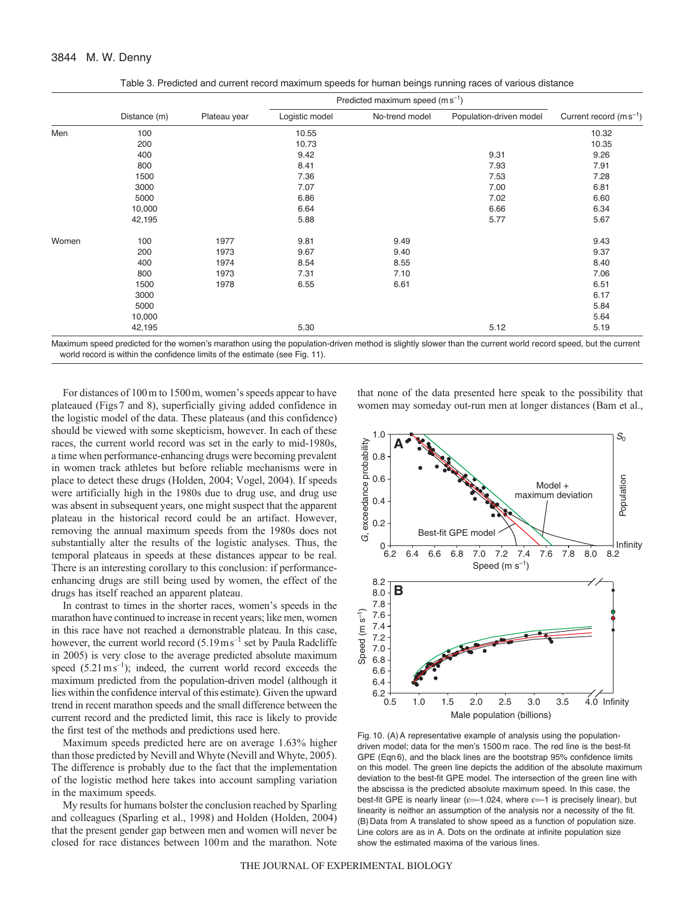|       | Table 5. Fledicied and current record maximum speeds for numail beings running races or various distance |              |                |                                      |                         |                             |
|-------|----------------------------------------------------------------------------------------------------------|--------------|----------------|--------------------------------------|-------------------------|-----------------------------|
|       |                                                                                                          |              |                | Predicted maximum speed $(m s^{-1})$ |                         |                             |
|       | Distance (m)                                                                                             | Plateau year | Logistic model | No-trend model                       | Population-driven model | Current record $(m s^{-1})$ |
| Men   | 100                                                                                                      |              | 10.55          |                                      |                         | 10.32                       |
|       | 200                                                                                                      |              | 10.73          |                                      |                         | 10.35                       |
|       | 400                                                                                                      |              | 9.42           |                                      | 9.31                    | 9.26                        |
|       | 800                                                                                                      |              | 8.41           |                                      | 7.93                    | 7.91                        |
|       | 1500                                                                                                     |              | 7.36           |                                      | 7.53                    | 7.28                        |
|       | 3000                                                                                                     |              | 7.07           |                                      | 7.00                    | 6.81                        |
|       | 5000                                                                                                     |              | 6.86           |                                      | 7.02                    | 6.60                        |
|       | 10,000                                                                                                   |              | 6.64           |                                      | 6.66                    | 6.34                        |
|       | 42,195                                                                                                   |              | 5.88           |                                      | 5.77                    | 5.67                        |
| Women | 100                                                                                                      | 1977         | 9.81           | 9.49                                 |                         | 9.43                        |
|       | 200                                                                                                      | 1973         | 9.67           | 9.40                                 |                         | 9.37                        |
|       | 400                                                                                                      | 1974         | 8.54           | 8.55                                 |                         | 8.40                        |
|       | 800                                                                                                      | 1973         | 7.31           | 7.10                                 |                         | 7.06                        |
|       | 1500                                                                                                     | 1978         | 6.55           | 6.61                                 |                         | 6.51                        |

Table 3. Predicted and

Maximum speed predicted for the women's marathon using the population-driven method is slightly slower than the current world record speed, but the current world record is within the confidence limits of the estimate (see Fig. 11).

3000 6.17  $5000$  5000  $10,000$  5.64 42,195 5.30 5.12 5.19

For distances of 100m to 1500m, women's speeds appear to have plateaued (Figs7 and 8), superficially giving added confidence in the logistic model of the data. These plateaus (and this confidence) should be viewed with some skepticism, however. In each of these races, the current world record was set in the early to mid-1980s, a time when performance-enhancing drugs were becoming prevalent in women track athletes but before reliable mechanisms were in place to detect these drugs (Holden, 2004; Vogel, 2004). If speeds were artificially high in the 1980s due to drug use, and drug use was absent in subsequent years, one might suspect that the apparent plateau in the historical record could be an artifact. However, removing the annual maximum speeds from the 1980s does not substantially alter the results of the logistic analyses. Thus, the temporal plateaus in speeds at these distances appear to be real. There is an interesting corollary to this conclusion: if performanceenhancing drugs are still being used by women, the effect of the drugs has itself reached an apparent plateau.

In contrast to times in the shorter races, women's speeds in the marathon have continued to increase in recent years; like men, women in this race have not reached a demonstrable plateau. In this case, however, the current world record  $(5.19 \text{ m s}^{-1} \text{ set by Paula Radcliffe})$ in 2005) is very close to the average predicted absolute maximum speed  $(5.21 \text{ m s}^{-1})$ ; indeed, the current world record exceeds the maximum predicted from the population-driven model (although it lies within the confidence interval of this estimate). Given the upward trend in recent marathon speeds and the small difference between the current record and the predicted limit, this race is likely to provide the first test of the methods and predictions used here.

Maximum speeds predicted here are on average 1.63% higher than those predicted by Nevill and Whyte (Nevill and Whyte, 2005). The difference is probably due to the fact that the implementation of the logistic method here takes into account sampling variation in the maximum speeds.

My results for humans bolster the conclusion reached by Sparling and colleagues (Sparling et al., 1998) and Holden (Holden, 2004) that the present gender gap between men and women will never be closed for race distances between 100m and the marathon. Note that none of the data presented here speak to the possibility that women may someday out-run men at longer distances (Bam et al.,



Fig. 10. (A) A representative example of analysis using the populationdriven model; data for the men's 1500 m race. The red line is the best-fit GPE (Eqn 6), and the black lines are the bootstrap 95% confidence limits on this model. The green line depicts the addition of the absolute maximum deviation to the best-fit GPE model. The intersection of the green line with the abscissa is the predicted absolute maximum speed. In this case, the best-fit GPE is nearly linear ( $\varepsilon$ =-1.024, where  $\varepsilon$ =-1 is precisely linear), but linearity is neither an assumption of the analysis nor a necessity of the fit. (B) Data from A translated to show speed as a function of population size. Line colors are as in A. Dots on the ordinate at infinite population size show the estimated maxima of the various lines.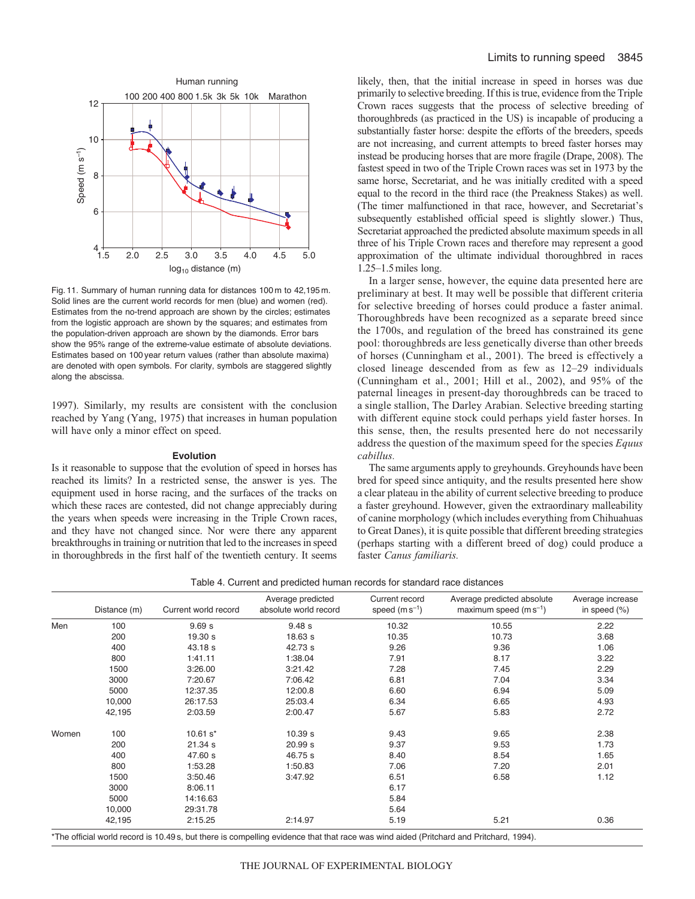

Fig. 11. Summary of human running data for distances 100 m to 42,195 m. Solid lines are the current world records for men (blue) and women (red). Estimates from the no-trend approach are shown by the circles; estimates from the logistic approach are shown by the squares; and estimates from the population-driven approach are shown by the diamonds. Error bars show the 95% range of the extreme-value estimate of absolute deviations. Estimates based on 100 year return values (rather than absolute maxima) are denoted with open symbols. For clarity, symbols are staggered slightly along the abscissa.

1997). Similarly, my results are consistent with the conclusion reached by Yang (Yang, 1975) that increases in human population will have only a minor effect on speed.

#### **Evolution**

Is it reasonable to suppose that the evolution of speed in horses has reached its limits? In a restricted sense, the answer is yes. The equipment used in horse racing, and the surfaces of the tracks on which these races are contested, did not change appreciably during the years when speeds were increasing in the Triple Crown races, and they have not changed since. Nor were there any apparent breakthroughs in training or nutrition that led to the increases in speed in thoroughbreds in the first half of the twentieth century. It seems

likely, then, that the initial increase in speed in horses was due primarily to selective breeding. If this is true, evidence from the Triple Crown races suggests that the process of selective breeding of thoroughbreds (as practiced in the US) is incapable of producing a substantially faster horse: despite the efforts of the breeders, speeds are not increasing, and current attempts to breed faster horses may instead be producing horses that are more fragile (Drape, 2008). The fastest speed in two of the Triple Crown races was set in 1973 by the same horse, Secretariat, and he was initially credited with a speed equal to the record in the third race (the Preakness Stakes) as well. (The timer malfunctioned in that race, however, and Secretariat's subsequently established official speed is slightly slower.) Thus, Secretariat approached the predicted absolute maximum speeds in all three of his Triple Crown races and therefore may represent a good approximation of the ultimate individual thoroughbred in races 1.25–1.5miles long.

In a larger sense, however, the equine data presented here are preliminary at best. It may well be possible that different criteria for selective breeding of horses could produce a faster animal. Thoroughbreds have been recognized as a separate breed since the 1700s, and regulation of the breed has constrained its gene pool: thoroughbreds are less genetically diverse than other breeds of horses (Cunningham et al., 2001). The breed is effectively a closed lineage descended from as few as 12–29 individuals (Cunningham et al., 2001; Hill et al., 2002), and 95% of the paternal lineages in present-day thoroughbreds can be traced to a single stallion, The Darley Arabian. Selective breeding starting with different equine stock could perhaps yield faster horses. In this sense, then, the results presented here do not necessarily address the question of the maximum speed for the species *Equus cabillus.*

The same arguments apply to greyhounds. Greyhounds have been bred for speed since antiquity, and the results presented here show a clear plateau in the ability of current selective breeding to produce a faster greyhound. However, given the extraordinary malleability of canine morphology (which includes everything from Chihuahuas to Great Danes), it is quite possible that different breeding strategies (perhaps starting with a different breed of dog) could produce a faster *Canus familiaris.*

Table 4. Current and predicted human records for standard race distances

|       | Distance (m) | Current world record | Average predicted<br>absolute world record | Current record<br>speed $(m s^{-1})$ | Average predicted absolute<br>maximum speed $(m s^{-1})$ | Average increase<br>in speed $(\%)$ |
|-------|--------------|----------------------|--------------------------------------------|--------------------------------------|----------------------------------------------------------|-------------------------------------|
| Men   | 100          | 9.69s                | 9.48s                                      | 10.32                                | 10.55                                                    | 2.22                                |
|       | 200          | 19.30 s              | 18.63 s                                    | 10.35                                | 10.73                                                    | 3.68                                |
|       | 400          | 43.18 s              | 42.73 s                                    | 9.26                                 | 9.36                                                     | 1.06                                |
|       | 800          | 1:41.11              | 1:38.04                                    | 7.91                                 | 8.17                                                     | 3.22                                |
|       | 1500         | 3:26.00              | 3:21.42                                    | 7.28                                 | 7.45                                                     | 2.29                                |
|       | 3000         | 7:20.67              | 7:06.42                                    | 6.81                                 | 7.04                                                     | 3.34                                |
|       | 5000         | 12:37.35             | 12:00.8                                    | 6.60                                 | 6.94                                                     | 5.09                                |
|       | 10,000       | 26:17.53             | 25:03.4                                    | 6.34                                 | 6.65                                                     | 4.93                                |
|       | 42,195       | 2:03.59              | 2:00.47                                    | 5.67                                 | 5.83                                                     | 2.72                                |
| Women | 100          | $10.61 s*$           | 10.39 s                                    | 9.43                                 | 9.65                                                     | 2.38                                |
|       | 200          | 21.34 s              | 20.99 s                                    | 9.37                                 | 9.53                                                     | 1.73                                |
|       | 400          | 47.60 s              | 46.75 s                                    | 8.40                                 | 8.54                                                     | 1.65                                |
|       | 800          | 1:53.28              | 1:50.83                                    | 7.06                                 | 7.20                                                     | 2.01                                |
|       | 1500         | 3:50.46              | 3:47.92                                    | 6.51                                 | 6.58                                                     | 1.12                                |
|       | 3000         | 8:06.11              |                                            | 6.17                                 |                                                          |                                     |
|       | 5000         | 14:16.63             |                                            | 5.84                                 |                                                          |                                     |
|       | 10,000       | 29:31.78             |                                            | 5.64                                 |                                                          |                                     |
|       | 42,195       | 2:15.25              | 2:14.97                                    | 5.19                                 | 5.21                                                     | 0.36                                |

al world record is 10.49s, but there is compelling evidence that that race was wind aided (Pritchard and Pritchard, 1994).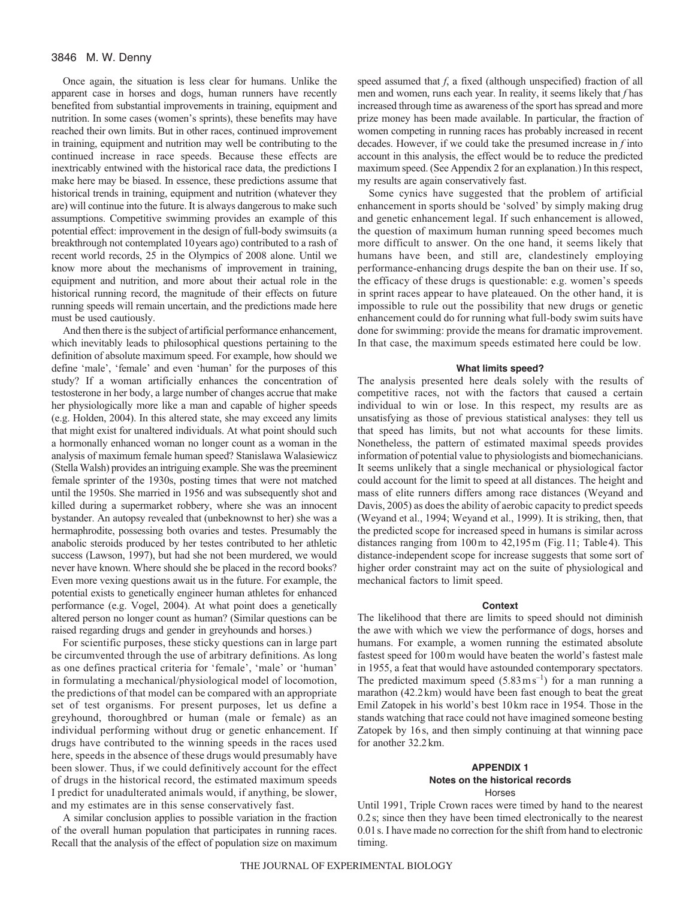Once again, the situation is less clear for humans. Unlike the apparent case in horses and dogs, human runners have recently benefited from substantial improvements in training, equipment and nutrition. In some cases (women's sprints), these benefits may have reached their own limits. But in other races, continued improvement in training, equipment and nutrition may well be contributing to the continued increase in race speeds. Because these effects are inextricably entwined with the historical race data, the predictions I make here may be biased. In essence, these predictions assume that historical trends in training, equipment and nutrition (whatever they are) will continue into the future. It is always dangerous to make such assumptions. Competitive swimming provides an example of this potential effect: improvement in the design of full-body swimsuits (a breakthrough not contemplated 10years ago) contributed to a rash of recent world records, 25 in the Olympics of 2008 alone. Until we know more about the mechanisms of improvement in training, equipment and nutrition, and more about their actual role in the historical running record, the magnitude of their effects on future running speeds will remain uncertain, and the predictions made here must be used cautiously.

And then there is the subject of artificial performance enhancement, which inevitably leads to philosophical questions pertaining to the definition of absolute maximum speed. For example, how should we define 'male', 'female' and even 'human' for the purposes of this study? If a woman artificially enhances the concentration of testosterone in her body, a large number of changes accrue that make her physiologically more like a man and capable of higher speeds (e.g. Holden, 2004). In this altered state, she may exceed any limits that might exist for unaltered individuals. At what point should such a hormonally enhanced woman no longer count as a woman in the analysis of maximum female human speed? Stanislawa Walasiewicz (Stella Walsh) provides an intriguing example. She was the preeminent female sprinter of the 1930s, posting times that were not matched until the 1950s. She married in 1956 and was subsequently shot and killed during a supermarket robbery, where she was an innocent bystander. An autopsy revealed that (unbeknownst to her) she was a hermaphrodite, possessing both ovaries and testes. Presumably the anabolic steroids produced by her testes contributed to her athletic success (Lawson, 1997), but had she not been murdered, we would never have known. Where should she be placed in the record books? Even more vexing questions await us in the future. For example, the potential exists to genetically engineer human athletes for enhanced performance (e.g. Vogel, 2004). At what point does a genetically altered person no longer count as human? (Similar questions can be raised regarding drugs and gender in greyhounds and horses.)

For scientific purposes, these sticky questions can in large part be circumvented through the use of arbitrary definitions. As long as one defines practical criteria for 'female', 'male' or 'human' in formulating a mechanical/physiological model of locomotion, the predictions of that model can be compared with an appropriate set of test organisms. For present purposes, let us define a greyhound, thoroughbred or human (male or female) as an individual performing without drug or genetic enhancement. If drugs have contributed to the winning speeds in the races used here, speeds in the absence of these drugs would presumably have been slower. Thus, if we could definitively account for the effect of drugs in the historical record, the estimated maximum speeds I predict for unadulterated animals would, if anything, be slower, and my estimates are in this sense conservatively fast.

A similar conclusion applies to possible variation in the fraction of the overall human population that participates in running races. Recall that the analysis of the effect of population size on maximum speed assumed that *f*, a fixed (although unspecified) fraction of all men and women, runs each year. In reality, it seems likely that *f* has increased through time as awareness of the sport has spread and more prize money has been made available. In particular, the fraction of women competing in running races has probably increased in recent decades. However, if we could take the presumed increase in *f* into account in this analysis, the effect would be to reduce the predicted maximum speed. (See Appendix 2 for an explanation.) In this respect, my results are again conservatively fast.

Some cynics have suggested that the problem of artificial enhancement in sports should be 'solved' by simply making drug and genetic enhancement legal. If such enhancement is allowed, the question of maximum human running speed becomes much more difficult to answer. On the one hand, it seems likely that humans have been, and still are, clandestinely employing performance-enhancing drugs despite the ban on their use. If so, the efficacy of these drugs is questionable: e.g. women's speeds in sprint races appear to have plateaued. On the other hand, it is impossible to rule out the possibility that new drugs or genetic enhancement could do for running what full-body swim suits have done for swimming: provide the means for dramatic improvement. In that case, the maximum speeds estimated here could be low.

#### **What limits speed?**

The analysis presented here deals solely with the results of competitive races, not with the factors that caused a certain individual to win or lose. In this respect, my results are as unsatisfying as those of previous statistical analyses: they tell us that speed has limits, but not what accounts for these limits. Nonetheless, the pattern of estimated maximal speeds provides information of potential value to physiologists and biomechanicians. It seems unlikely that a single mechanical or physiological factor could account for the limit to speed at all distances. The height and mass of elite runners differs among race distances (Weyand and Davis, 2005) as does the ability of aerobic capacity to predict speeds (Weyand et al., 1994; Weyand et al., 1999). It is striking, then, that the predicted scope for increased speed in humans is similar across distances ranging from 100m to 42,195m (Fig.11; Table4). This distance-independent scope for increase suggests that some sort of higher order constraint may act on the suite of physiological and mechanical factors to limit speed.

#### **Context**

The likelihood that there are limits to speed should not diminish the awe with which we view the performance of dogs, horses and humans. For example, a women running the estimated absolute fastest speed for 100m would have beaten the world's fastest male in 1955, a feat that would have astounded contemporary spectators. The predicted maximum speed  $(5.83 \text{ m s}^{-1})$  for a man running a marathon (42.2km) would have been fast enough to beat the great Emil Zatopek in his world's best 10km race in 1954. Those in the stands watching that race could not have imagined someone besting Zatopek by 16s, and then simply continuing at that winning pace for another 32.2km.

# **APPENDIX 1 Notes on the historical records** Horses

Until 1991, Triple Crown races were timed by hand to the nearest 0.2s; since then they have been timed electronically to the nearest 0.01s. I have made no correction for the shift from hand to electronic timing.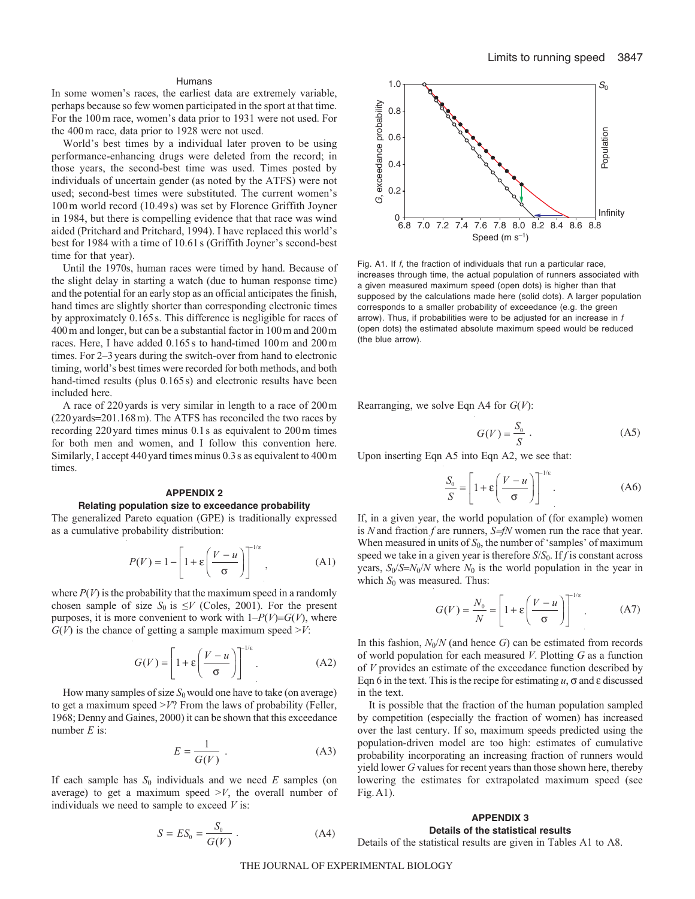# Humans

In some women's races, the earliest data are extremely variable, perhaps because so few women participated in the sport at that time. For the 100m race, women's data prior to 1931 were not used. For the 400m race, data prior to 1928 were not used.

World's best times by a individual later proven to be using performance-enhancing drugs were deleted from the record; in those years, the second-best time was used. Times posted by individuals of uncertain gender (as noted by the ATFS) were not used; second-best times were substituted. The current women's 100 m world record (10.49 s) was set by Florence Griffith Joyner in 1984, but there is compelling evidence that that race was wind aided (Pritchard and Pritchard, 1994). I have replaced this world's best for 1984 with a time of 10.61 s (Griffith Joyner's second-best time for that year).

Until the 1970s, human races were timed by hand. Because of the slight delay in starting a watch (due to human response time) and the potential for an early stop as an official anticipates the finish, hand times are slightly shorter than corresponding electronic times by approximately 0.165s. This difference is negligible for races of 400m and longer, but can be a substantial factor in 100m and 200m races. Here, I have added 0.165s to hand-timed 100m and 200m times. For 2–3years during the switch-over from hand to electronic timing, world's best times were recorded for both methods, and both hand-timed results (plus 0.165s) and electronic results have been included here.

A race of 220yards is very similar in length to a race of 200m (220yards=201.168m). The ATFS has reconciled the two races by recording 220yard times minus 0.1s as equivalent to 200m times for both men and women, and I follow this convention here. Similarly, I accept 440 yard times minus 0.3 s as equivalent to 400 m times.

# **APPENDIX 2 Relating population size to exceedance probability**

The generalized Pareto equation (GPE) is traditionally expressed as a cumulative probability distribution:

$$
P(V) = 1 - \left[1 + \varepsilon \left(\frac{V - u}{\sigma}\right)\right]^{-1/\varepsilon},
$$
 (A1)

where  $P(V)$  is the probability that the maximum speed in a randomly chosen sample of size  $S_0$  is  $\leq V$  (Coles, 2001). For the present purposes, it is more convenient to work with  $1-P(V)=G(V)$ , where  $G(V)$  is the chance of getting a sample maximum speed  $\geq V$ :

$$
G(V) = \left[1 + \varepsilon \left(\frac{V - u}{\sigma}\right)\right]^{1/\varepsilon}.\tag{A2}
$$

How many samples of size  $S_0$  would one have to take (on average) to get a maximum speed >*V*? From the laws of probability (Feller, 1968; Denny and Gaines, 2000) it can be shown that this exceedance number *E* is:

$$
E = \frac{1}{G(V)} .
$$
 (A3)

If each sample has  $S_0$  individuals and we need  $E$  samples (on average) to get a maximum speed  $\geq V$ , the overall number of individuals we need to sample to exceed *V* is:

$$
S = ES_0 = \frac{S_0}{G(V)} . \tag{A4}
$$



Fig. A1. If f, the fraction of individuals that run a particular race, increases through time, the actual population of runners associated with a given measured maximum speed (open dots) is higher than that supposed by the calculations made here (solid dots). A larger population corresponds to a smaller probability of exceedance (e.g. the green arrow). Thus, if probabilities were to be adjusted for an increase in f (open dots) the estimated absolute maximum speed would be reduced (the blue arrow).

Rearranging, we solve Eqn A4 for *G*(*V*):

$$
G(V) = \frac{S_0}{S} \tag{A5}
$$

Upon inserting Eqn A5 into Eqn A2, we see that:

$$
\frac{S_0}{S} = \left[1 + \varepsilon \left(\frac{V - u}{\sigma}\right)\right]^{1/\varepsilon}.\tag{A6}
$$

If, in a given year, the world population of (for example) women is *N* and fraction *f* are runners, *S=fN* women run the race that year. When measured in units of  $S_0$ , the number of 'samples' of maximum speed we take in a given year is therefore *S*/*S*0. If *f* is constant across years,  $S_0/S=N_0/N$  where  $N_0$  is the world population in the year in which  $S_0$  was measured. Thus:

$$
G(V) = \frac{N_0}{N} = \left[1 + \varepsilon \left(\frac{V - u}{\sigma}\right)\right]^{1/\varepsilon}.
$$
 (A7)

In this fashion,  $N_0/N$  (and hence *G*) can be estimated from records of world population for each measured *V*. Plotting *G* as a function of *V* provides an estimate of the exceedance function described by Eqn 6 in the text. This is the recipe for estimating  $u$ ,  $\sigma$  and  $\varepsilon$  discussed in the text.

It is possible that the fraction of the human population sampled by competition (especially the fraction of women) has increased over the last century. If so, maximum speeds predicted using the population-driven model are too high: estimates of cumulative probability incorporating an increasing fraction of runners would yield lower *G* values for recent years than those shown here, thereby lowering the estimates for extrapolated maximum speed (see Fig.A1).

# **APPENDIX 3**

**Details of the statistical results** Details of the statistical results are given in Tables A1 to A8.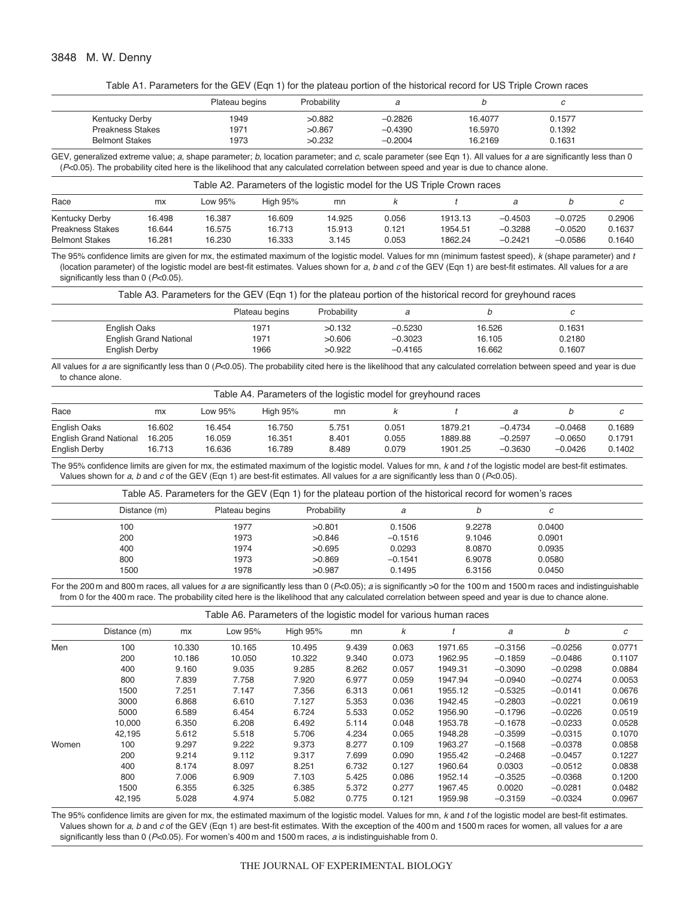| Table A1. Parameters for the GEV (Eqn 1) for the plateau portion of the historical record for US Triple Crown races |  |
|---------------------------------------------------------------------------------------------------------------------|--|
|---------------------------------------------------------------------------------------------------------------------|--|

|                         | Plateau begins | Probability |           |         |        |  |
|-------------------------|----------------|-------------|-----------|---------|--------|--|
| Kentucky Derby          | 1949           | >0.882      | $-0.2826$ | 16.4077 | 0.1577 |  |
| <b>Preakness Stakes</b> | 1971           | >0.867      | $-0.4390$ | 16.5970 | 0.1392 |  |
| <b>Belmont Stakes</b>   | 1973           | >0.232      | $-0.2004$ | 16.2169 | 0.1631 |  |

GEV, generalized extreme value; a, shape parameter; b, location parameter; and c, scale parameter (see Eqn 1). All values for a are significantly less than 0  $(P < 0.05)$ . The probability cited here is the likelihood that any calculated correlation between speed and year is due to chance alone.

| Table A2. Parameters of the logistic model for the US Triple Crown races |        |         |                 |        |       |         |           |           |        |
|--------------------------------------------------------------------------|--------|---------|-----------------|--------|-------|---------|-----------|-----------|--------|
| Race                                                                     | mx     | Low 95% | <b>High 95%</b> | mn     |       |         |           |           | C      |
| Kentucky Derby                                                           | 16.498 | 16.387  | 16.609          | 14.925 | 0.056 | 1913.13 | $-0.4503$ | $-0.0725$ | 0.2906 |
| <b>Preakness Stakes</b>                                                  | 16.644 | 16.575  | 16.713          | 15.913 | 0.121 | 1954.51 | $-0.3288$ | $-0.0520$ | 0.1637 |
| <b>Belmont Stakes</b>                                                    | 16.281 | 16.230  | 16.333          | 3.145  | 0.053 | 1862.24 | $-0.2421$ | $-0.0586$ | 0.1640 |

The 95% confidence limits are given for mx, the estimated maximum of the logistic model. Values for mn (minimum fastest speed), k (shape parameter) and t (location parameter) of the logistic model are best-fit estimates. Values shown for a, b and c of the GEV (Eqn 1) are best-fit estimates. All values for a are significantly less than 0 (P<0.05).

| Table A3. Parameters for the GEV (Eqn 1) for the plateau portion of the historical record for greyhound races |                |             |           |        |        |  |
|---------------------------------------------------------------------------------------------------------------|----------------|-------------|-----------|--------|--------|--|
|                                                                                                               | Plateau begins | Probability |           |        | с      |  |
| English Oaks                                                                                                  | 1971           | >0.132      | $-0.5230$ | 16.526 | 0.1631 |  |
| <b>English Grand National</b>                                                                                 | 1971           | >0.606      | $-0.3023$ | 16.105 | 0.2180 |  |
| English Derby                                                                                                 | 1966           | >0.922      | $-0.4165$ | 16.662 | 0.1607 |  |

All values for a are significantly less than 0 (P<0.05). The probability cited here is the likelihood that any calculated correlation between speed and year is due to chance alone.

|                               | Table A4. Parameters of the logistic model for greyhound races |         |                 |       |       |         |           |           |        |
|-------------------------------|----------------------------------------------------------------|---------|-----------------|-------|-------|---------|-----------|-----------|--------|
| Race                          | <b>mx</b>                                                      | Low 95% | <b>High 95%</b> | mn    |       |         |           |           | с      |
| English Oaks                  | 16.602                                                         | 16.454  | 16.750          | 5.751 | 0.051 | 1879.21 | $-0.4734$ | $-0.0468$ | 0.1689 |
| <b>English Grand National</b> | 16.205                                                         | 16.059  | 16.351          | 8.401 | 0.055 | 1889.88 | $-0.2597$ | $-0.0650$ | 0.1791 |
| English Derby                 | 16.713                                                         | 16.636  | 16.789          | 8.489 | 0.079 | 1901.25 | $-0.3630$ | $-0.0426$ | 0.1402 |

The 95% confidence limits are given for mx, the estimated maximum of the logistic model. Values for mn, k and t of the logistic model are best-fit estimates. Values shown for a, b and c of the GEV (Eqn 1) are best-fit estimates. All values for a are significantly less than 0 ( $P<0.05$ ).

|  |  | Table A5. Parameters for the GEV (Eqn 1) for the plateau portion of the historical record for women's races |
|--|--|-------------------------------------------------------------------------------------------------------------|
|--|--|-------------------------------------------------------------------------------------------------------------|

| Distance (m) | Plateau begins | Probability | а         |        | с      |  |
|--------------|----------------|-------------|-----------|--------|--------|--|
| 100          | 1977           | >0.801      | 0.1506    | 9.2278 | 0.0400 |  |
| 200          | 1973           | >0.846      | $-0.1516$ | 9.1046 | 0.0901 |  |
| 400          | 1974           | >0.695      | 0.0293    | 8.0870 | 0.0935 |  |
| 800          | 1973           | >0.869      | $-0.1541$ | 6.9078 | 0.0580 |  |
| 1500         | 1978           | >0.987      | 0.1495    | 6.3156 | 0.0450 |  |

For the 200 m and 800 m races, all values for a are significantly less than 0 (P<0.05); a is significantly >0 for the 100 m and 1500 m races and indistinguishable from 0 for the 400 m race. The probability cited here is the likelihood that any calculated correlation between speed and year is due to chance alone.

| Table A6. Parameters of the logistic model for various human races |
|--------------------------------------------------------------------|
|--------------------------------------------------------------------|

|       | Distance (m) | mx     | Low 95% | <b>High 95%</b> | ر -<br>mn | k     |         | a         | b         | с      |
|-------|--------------|--------|---------|-----------------|-----------|-------|---------|-----------|-----------|--------|
|       |              |        |         |                 |           |       |         |           |           |        |
| Men   | 100          | 10.330 | 10.165  | 10.495          | 9.439     | 0.063 | 1971.65 | $-0.3156$ | $-0.0256$ | 0.0771 |
|       | 200          | 10.186 | 10.050  | 10.322          | 9.340     | 0.073 | 1962.95 | $-0.1859$ | $-0.0486$ | 0.1107 |
|       | 400          | 9.160  | 9.035   | 9.285           | 8.262     | 0.057 | 1949.31 | $-0.3090$ | $-0.0298$ | 0.0884 |
|       | 800          | 7.839  | 7.758   | 7.920           | 6.977     | 0.059 | 1947.94 | $-0.0940$ | $-0.0274$ | 0.0053 |
|       | 1500         | 7.251  | 7.147   | 7.356           | 6.313     | 0.061 | 1955.12 | $-0.5325$ | $-0.0141$ | 0.0676 |
|       | 3000         | 6.868  | 6.610   | 7.127           | 5.353     | 0.036 | 1942.45 | $-0.2803$ | $-0.0221$ | 0.0619 |
|       | 5000         | 6.589  | 6.454   | 6.724           | 5.533     | 0.052 | 1956.90 | $-0.1796$ | $-0.0226$ | 0.0519 |
|       | 10,000       | 6.350  | 6.208   | 6.492           | 5.114     | 0.048 | 1953.78 | $-0.1678$ | $-0.0233$ | 0.0528 |
|       | 42.195       | 5.612  | 5.518   | 5.706           | 4.234     | 0.065 | 1948.28 | $-0.3599$ | $-0.0315$ | 0.1070 |
| Women | 100          | 9.297  | 9.222   | 9.373           | 8.277     | 0.109 | 1963.27 | $-0.1568$ | $-0.0378$ | 0.0858 |
|       | 200          | 9.214  | 9.112   | 9.317           | 7.699     | 0.090 | 1955.42 | $-0.2468$ | $-0.0457$ | 0.1227 |
|       | 400          | 8.174  | 8.097   | 8.251           | 6.732     | 0.127 | 1960.64 | 0.0303    | $-0.0512$ | 0.0838 |
|       | 800          | 7.006  | 6.909   | 7.103           | 5.425     | 0.086 | 1952.14 | $-0.3525$ | $-0.0368$ | 0.1200 |
|       | 1500         | 6.355  | 6.325   | 6.385           | 5.372     | 0.277 | 1967.45 | 0.0020    | $-0.0281$ | 0.0482 |
|       | 42,195       | 5.028  | 4.974   | 5.082           | 0.775     | 0.121 | 1959.98 | $-0.3159$ | $-0.0324$ | 0.0967 |

The 95% confidence limits are given for mx, the estimated maximum of the logistic model. Values for mn, k and t of the logistic model are best-fit estimates. Values shown for a, b and c of the GEV (Eqn 1) are best-fit estimates. With the exception of the 400 m and 1500 m races for women, all values for a are significantly less than 0 (P<0.05). For women's 400 m and 1500 m races, a is indistinguishable from 0.